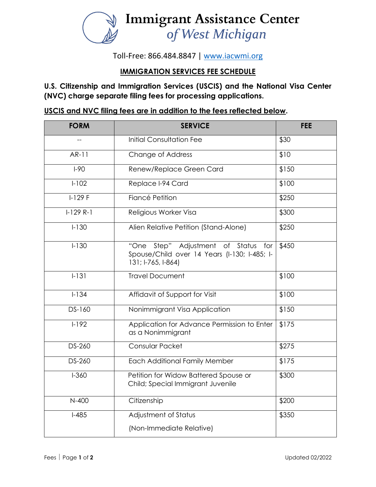

Toll-Free: 866.484.8847 | [www.iacwmi.org](http://www.iacwmi.org/)

## **IMMIGRATION SERVICES FEE SCHEDULE**

**U.S. Citizenship and Immigration Services (USCIS) and the National Visa Center (NVC) charge separate filing fees for processing applications.**

**USCIS and NVC filing fees are in addition to the fees reflected below.**

| <b>FORM</b> | <b>SERVICE</b>                                                                                               | <b>FEE</b> |
|-------------|--------------------------------------------------------------------------------------------------------------|------------|
|             | <b>Initial Consultation Fee</b>                                                                              | \$30       |
| AR-11       | Change of Address                                                                                            | \$10       |
| $I-90$      | Renew/Replace Green Card                                                                                     | \$150      |
| $1 - 102$   | Replace I-94 Card                                                                                            | \$100      |
| $I-129F$    | Fiancé Petition                                                                                              | \$250      |
| $1-129R-1$  | Religious Worker Visa                                                                                        | \$300      |
| $I - 130$   | Alien Relative Petition (Stand-Alone)                                                                        | \$250      |
| $I - 130$   | Step" Adjustment of Status for<br>"One<br>Spouse/Child over 14 Years (I-130; I-485; I-<br>131; I-765, I-864) | \$450      |
| $1 - 131$   | <b>Travel Document</b>                                                                                       | \$100      |
| $1 - 134$   | Affidavit of Support for Visit                                                                               | \$100      |
| DS-160      | Nonimmigrant Visa Application                                                                                | \$150      |
| $1 - 192$   | Application for Advance Permission to Enter<br>as a Nonimmigrant                                             | \$175      |
| DS-260      | Consular Packet                                                                                              | \$275      |
| DS-260      | <b>Each Additional Family Member</b>                                                                         | \$175      |
| $I - 360$   | Petition for Widow Battered Spouse or<br>Child; Special Immigrant Juvenile                                   | \$300      |
| N-400       | Citizenship                                                                                                  | \$200      |
| $I-485$     | Adjustment of Status<br>(Non-Immediate Relative)                                                             | \$350      |